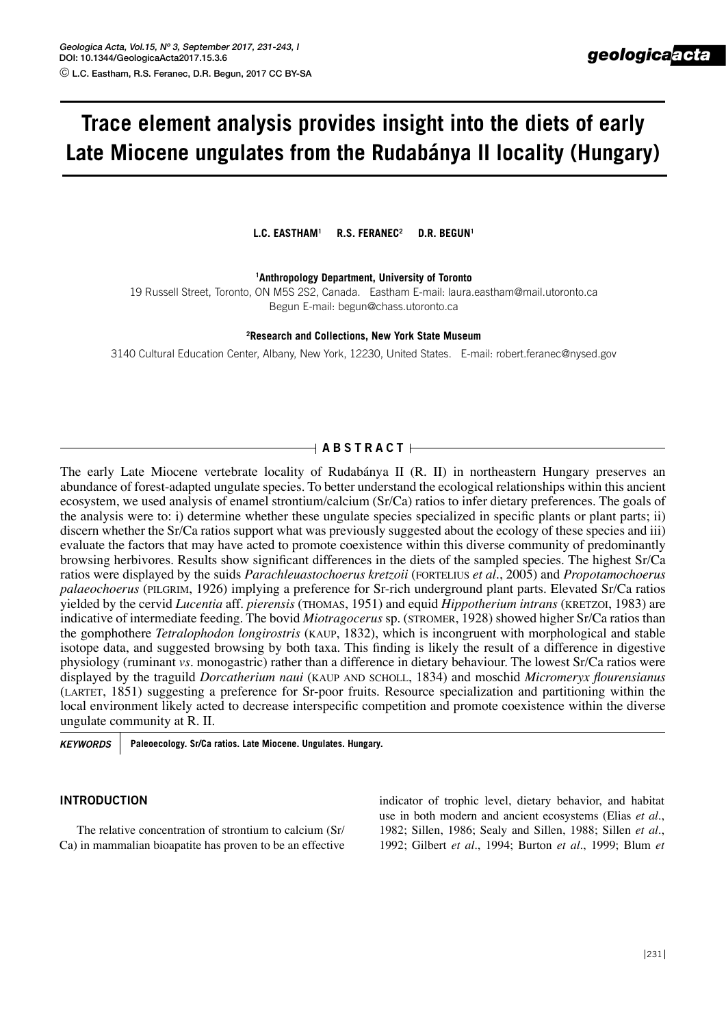# **Trace element analysis provides insight into the diets of early Late Miocene ungulates from the Rudabánya II locality (Hungary)**

L.C. EASTHAM<sup>1</sup> R.S. FERANEC<sup>2</sup> D.R. BEGUN<sup>1</sup>

**1Anthropology Department, University of Toronto** 

19 Russell Street, Toronto, ON M5S 2S2, Canada. Eastham E-mail: laura.eastham@mail.utoronto.ca Begun E-mail: begun@chass.utoronto.ca

**2Research and Collections, New York State Museum**

3140 Cultural Education Center, Albany, New York, 12230, United States. E-mail: robert.feranec@nysed.gov

## $\overline{A}$  **A B S T R A C T**  $\overline{A}$

The early Late Miocene vertebrate locality of Rudabánya II (R. II) in northeastern Hungary preserves an abundance of forest-adapted ungulate species. To better understand the ecological relationships within this ancient ecosystem, we used analysis of enamel strontium/calcium (Sr/Ca) ratios to infer dietary preferences. The goals of the analysis were to: i) determine whether these ungulate species specialized in specific plants or plant parts; ii) discern whether the Sr/Ca ratios support what was previously suggested about the ecology of these species and iii) evaluate the factors that may have acted to promote coexistence within this diverse community of predominantly browsing herbivores. Results show significant differences in the diets of the sampled species. The highest Sr/Ca ratios were displayed by the suids *Parachleuastochoerus kretzoii* (fortelius *et al.*, 2005) and *Propotamochoerus palaeochoerus* (pilgrim, 1926) implying a preference for Sr-rich underground plant parts. Elevated Sr/Ca ratios yielded by the cervid *Lucentia* aff. *pierensis* (thomas, 1951) and equid *Hippotherium intrans* (kretzoi, 1983) are indicative of intermediate feeding. The bovid *Miotragocerus* sp. (stromer, 1928) showed higher Sr/Ca ratios than the gomphothere *Tetralophodon longirostris* (kaup, 1832), which is incongruent with morphological and stable isotope data, and suggested browsing by both taxa. This finding is likely the result of a difference in digestive physiology (ruminant *vs.* monogastric) rather than a difference in dietary behaviour. The lowest Sr/Ca ratios were displayed by the traguild *Dorcatherium naui* (KAUP AND SCHOLL, 1834) and moschid *Micromeryx flourensianus* (LARTET, 1851) suggesting a preference for Sr-poor fruits. Resource specialization and partitioning within the local environment likely acted to decrease interspecific competition and promote coexistence within the diverse ungulate community at R. II.

*KEYWORDS* **Paleoecology. Sr/Ca ratios. Late Miocene. Ungulates. Hungary.**

#### **Introduction**

The relative concentration of strontium to calcium (Sr/ Ca) in mammalian bioapatite has proven to be an effective indicator of trophic level, dietary behavior, and habitat use in both modern and ancient ecosystems (Elias *et al.*, 1982; Sillen, 1986; Sealy and Sillen, 1988; Sillen *et al.*, 1992; Gilbert *et al.*, 1994; Burton *et al.*, 1999; Blum *et*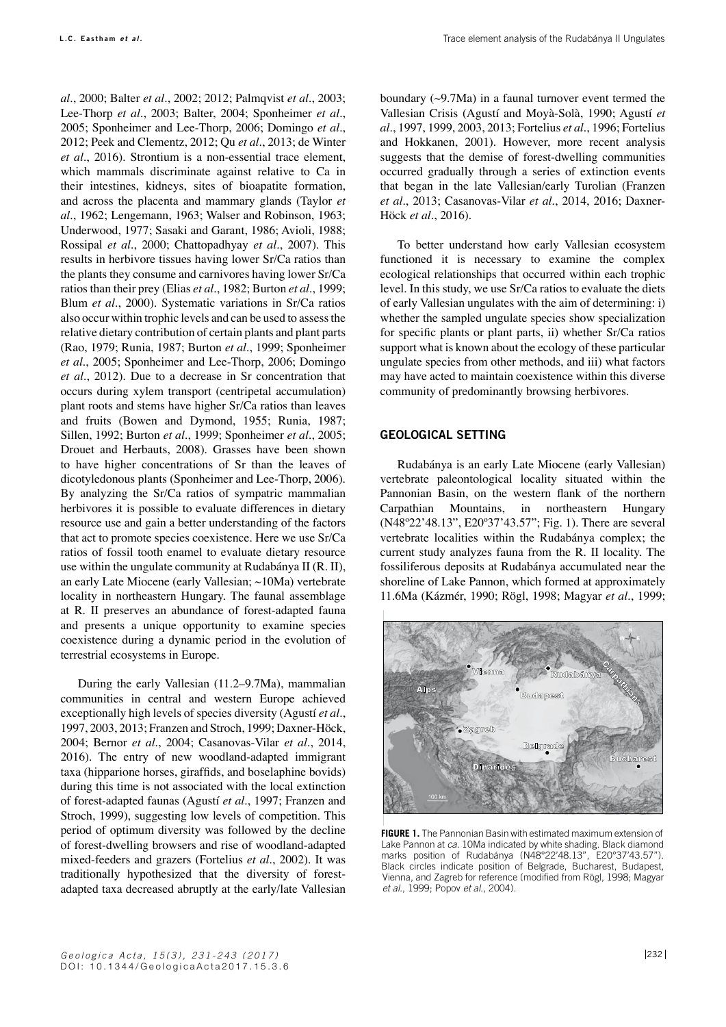*al.*, 2000; Balter *et al.*, 2002; 2012; Palmqvist *et al.*, 2003; Lee-Thorp *et al.*, 2003; Balter, 2004; Sponheimer *et al.*, 2005; Sponheimer and Lee-Thorp, 2006; Domingo *et al.*, 2012; Peek and Clementz, 2012; Qu *et al.*, 2013; de Winter *et al.*, 2016). Strontium is a non-essential trace element, which mammals discriminate against relative to Ca in their intestines, kidneys, sites of bioapatite formation, and across the placenta and mammary glands (Taylor *et al.*, 1962; Lengemann, 1963; Walser and Robinson, 1963; Underwood, 1977; Sasaki and Garant, 1986; Avioli, 1988; Rossipal *et al.*, 2000; Chattopadhyay *et al.*, 2007). This results in herbivore tissues having lower Sr/Ca ratios than the plants they consume and carnivores having lower Sr/Ca ratios than their prey (Elias *et al.*, 1982; Burton *et al.*, 1999; Blum *et al.*, 2000). Systematic variations in Sr/Ca ratios also occur within trophic levels and can be used to assess the relative dietary contribution of certain plants and plant parts (Rao, 1979; Runia, 1987; Burton *et al.*, 1999; Sponheimer *et al.*, 2005; Sponheimer and Lee-Thorp, 2006; Domingo *et al.*, 2012). Due to a decrease in Sr concentration that occurs during xylem transport (centripetal accumulation) plant roots and stems have higher Sr/Ca ratios than leaves and fruits (Bowen and Dymond, 1955; Runia, 1987; Sillen, 1992; Burton *et al.*, 1999; Sponheimer *et al.*, 2005; Drouet and Herbauts, 2008). Grasses have been shown to have higher concentrations of Sr than the leaves of dicotyledonous plants (Sponheimer and Lee-Thorp, 2006). By analyzing the Sr/Ca ratios of sympatric mammalian herbivores it is possible to evaluate differences in dietary resource use and gain a better understanding of the factors that act to promote species coexistence. Here we use Sr/Ca ratios of fossil tooth enamel to evaluate dietary resource use within the ungulate community at Rudabánya II (R. II), an early Late Miocene (early Vallesian; ~10Ma) vertebrate locality in northeastern Hungary. The faunal assemblage at R. II preserves an abundance of forest-adapted fauna and presents a unique opportunity to examine species coexistence during a dynamic period in the evolution of terrestrial ecosystems in Europe.

During the early Vallesian (11.2–9.7Ma), mammalian communities in central and western Europe achieved exceptionally high levels of species diversity (Agustí *et al.*, 1997, 2003, 2013; Franzen and Stroch, 1999; Daxner-Höck, 2004; Bernor *et al.*, 2004; Casanovas-Vilar *et al.*, 2014, 2016). The entry of new woodland-adapted immigrant taxa (hipparione horses, giraffids, and boselaphine bovids) during this time is not associated with the local extinction of forest-adapted faunas (Agustí *et al.*, 1997; Franzen and Stroch, 1999), suggesting low levels of competition. This period of optimum diversity was followed by the decline of forest-dwelling browsers and rise of woodland-adapted mixed-feeders and grazers (Fortelius *et al.*, 2002). It was traditionally hypothesized that the diversity of forestadapted taxa decreased abruptly at the early/late Vallesian

boundary (~9.7Ma) in a faunal turnover event termed the Vallesian Crisis (Agustí and Moyà-Solà, 1990; Agustí *et al.*, 1997, 1999, 2003, 2013; Fortelius *et al.*, 1996; Fortelius and Hokkanen, 2001). However, more recent analysis suggests that the demise of forest-dwelling communities occurred gradually through a series of extinction events that began in the late Vallesian/early Turolian (Franzen *et al.*, 2013; Casanovas-Vilar *et al.*, 2014, 2016; Daxner-Höck *et al.*, 2016).

To better understand how early Vallesian ecosystem functioned it is necessary to examine the complex ecological relationships that occurred within each trophic level. In this study, we use Sr/Ca ratios to evaluate the diets of early Vallesian ungulates with the aim of determining: i) whether the sampled ungulate species show specialization for specific plants or plant parts, ii) whether Sr/Ca ratios support what is known about the ecology of these particular ungulate species from other methods, and iii) what factors may have acted to maintain coexistence within this diverse community of predominantly browsing herbivores.

### **Geological setting**

Rudabánya is an early Late Miocene (early Vallesian) vertebrate paleontological locality situated within the Pannonian Basin, on the western flank of the northern Carpathian Mountains, in northeastern Hungary (N48º22'48.13", E20º37'43.57"; Fig. 1). There are several vertebrate localities within the Rudabánya complex; the current study analyzes fauna from the R. II locality. The fossiliferous deposits at Rudabánya accumulated near the shoreline of Lake Pannon, which formed at approximately 11.6Ma (Kázmér, 1990; Rögl, 1998; Magyar *et al.*, 1999;



**FIGURE 1.** The Pannonian Basin with estimated maximum extension of Lake Pannon at *ca.* 10Ma indicated by white shading. Black diamond marks position of Rudabánya (N48°22'48.13", E20°37'43.57"). Black circles indicate position of Belgrade, Bucharest, Budapest, Vienna, and Zagreb for reference (modified from Rögl, 1998; Magyar *et al.*, 1999; Popov *et al.*, 2004).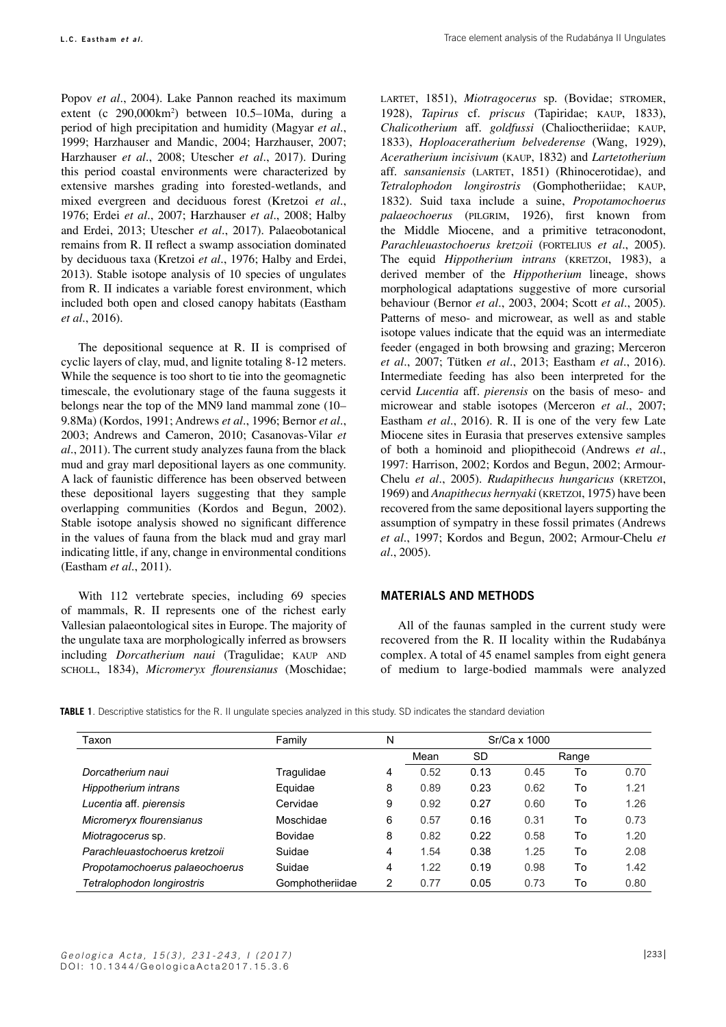Popov *et al.*, 2004). Lake Pannon reached its maximum extent (c 290,000km<sup>2</sup> ) between 10.5–10Ma, during a period of high precipitation and humidity (Magyar *et al.*, 1999; Harzhauser and Mandic, 2004; Harzhauser, 2007; Harzhauser *et al.*, 2008; Utescher *et al.*, 2017). During this period coastal environments were characterized by extensive marshes grading into forested-wetlands, and mixed evergreen and deciduous forest (Kretzoi *et al.*, 1976; Erdei *et al.*, 2007; Harzhauser *et al.*, 2008; Halby and Erdei, 2013; Utescher *et al.*, 2017). Palaeobotanical remains from R. II reflect a swamp association dominated by deciduous taxa (Kretzoi *et al.*, 1976; Halby and Erdei, 2013). Stable isotope analysis of 10 species of ungulates from R. II indicates a variable forest environment, which included both open and closed canopy habitats (Eastham *et al.*, 2016).

The depositional sequence at R. II is comprised of cyclic layers of clay, mud, and lignite totaling 8-12 meters. While the sequence is too short to tie into the geomagnetic timescale, the evolutionary stage of the fauna suggests it belongs near the top of the MN9 land mammal zone (10– 9.8Ma) (Kordos, 1991; Andrews *et al.*, 1996; Bernor *et al.*, 2003; Andrews and Cameron, 2010; Casanovas-Vilar *et al.*, 2011). The current study analyzes fauna from the black mud and gray marl depositional layers as one community. A lack of faunistic difference has been observed between these depositional layers suggesting that they sample overlapping communities (Kordos and Begun, 2002). Stable isotope analysis showed no significant difference in the values of fauna from the black mud and gray marl indicating little, if any, change in environmental conditions (Eastham *et al.*, 2011).

With 112 vertebrate species, including 69 species of mammals, R. II represents one of the richest early Vallesian palaeontological sites in Europe. The majority of the ungulate taxa are morphologically inferred as browsers including *Dorcatherium naui* (Tragulidae; KAUP AND scholl, 1834), *Micromeryx flourensianus* (Moschidae; LARTET, 1851), *Miotragocerus* sp. (Bovidae; STROMER, 1928), *Tapirus* cf. *priscus* (Tapiridae; kaup, 1833), *Chalicotherium* aff. *goldfussi* (Chalioctheriidae; kaup, 1833), *Hoploaceratherium belvederense* (Wang, 1929), *Aceratherium incisivum* (kaup, 1832) and *Lartetotherium*  aff. *sansaniensis* (LARTET, 1851) (Rhinocerotidae), and *Tetralophodon longirostris* (Gomphotheriidae; kaup, 1832). Suid taxa include a suine, *Propotamochoerus palaeochoerus* (pilgrim, 1926), first known from the Middle Miocene, and a primitive tetraconodont, *Parachleuastochoerus kretzoii* (FORTELIUS et al., 2005). The equid *Hippotherium intrans* (KRETZOI, 1983), a derived member of the *Hippotherium* lineage, shows morphological adaptations suggestive of more cursorial behaviour (Bernor *et al.*, 2003, 2004; Scott *et al.*, 2005). Patterns of meso- and microwear, as well as and stable isotope values indicate that the equid was an intermediate feeder (engaged in both browsing and grazing; Merceron *et al.*, 2007; Tütken *et al.*, 2013; Eastham *et al.*, 2016). Intermediate feeding has also been interpreted for the cervid *Lucentia* aff. *pierensis* on the basis of meso- and microwear and stable isotopes (Merceron *et al.*, 2007; Eastham *et al.*, 2016). R. II is one of the very few Late Miocene sites in Eurasia that preserves extensive samples of both a hominoid and pliopithecoid (Andrews *et al.*, 1997: Harrison, 2002; Kordos and Begun, 2002; Armour-Chelu *et al.*, 2005). *Rudapithecus hungaricus* (KRETZOI, 1969) and *Anapithecus hernyaki* (KRETZOI, 1975) have been recovered from the same depositional layers supporting the assumption of sympatry in these fossil primates (Andrews *et al.*, 1997; Kordos and Begun, 2002; Armour-Chelu *et al.*, 2005).

## **materials and methods**

All of the faunas sampled in the current study were recovered from the R. II locality within the Rudabánya complex. A total of 45 enamel samples from eight genera of medium to large-bodied mammals were analyzed

**TABLE 1**. Descriptive statistics for the R. II ungulate species analyzed in this study. SD indicates the standard deviation

| Taxon                          | Family          | N | Sr/Ca x 1000 |           |      |       |      |
|--------------------------------|-----------------|---|--------------|-----------|------|-------|------|
|                                |                 |   | Mean         | <b>SD</b> |      | Range |      |
| Dorcatherium naui              | Tragulidae      | 4 | 0.52         | 0.13      | 0.45 | To    | 0.70 |
| Hippotherium intrans           | Equidae         | 8 | 0.89         | 0.23      | 0.62 | To    | 1.21 |
| Lucentia aff. pierensis        | Cervidae        | 9 | 0.92         | 0.27      | 0.60 | To    | 1.26 |
| Micromeryx flourensianus       | Moschidae       | 6 | 0.57         | 0.16      | 0.31 | To    | 0.73 |
| Miotragocerus sp.              | <b>Bovidae</b>  | 8 | 0.82         | 0.22      | 0.58 | To    | 1.20 |
| Parachleuastochoerus kretzoii  | Suidae          | 4 | 1.54         | 0.38      | 1.25 | To    | 2.08 |
| Propotamochoerus palaeochoerus | Suidae          | 4 | 1.22         | 0.19      | 0.98 | To    | 1.42 |
| Tetralophodon longirostris     | Gomphotheriidae | 2 | 0.77         | 0.05      | 0.73 | To    | 0.80 |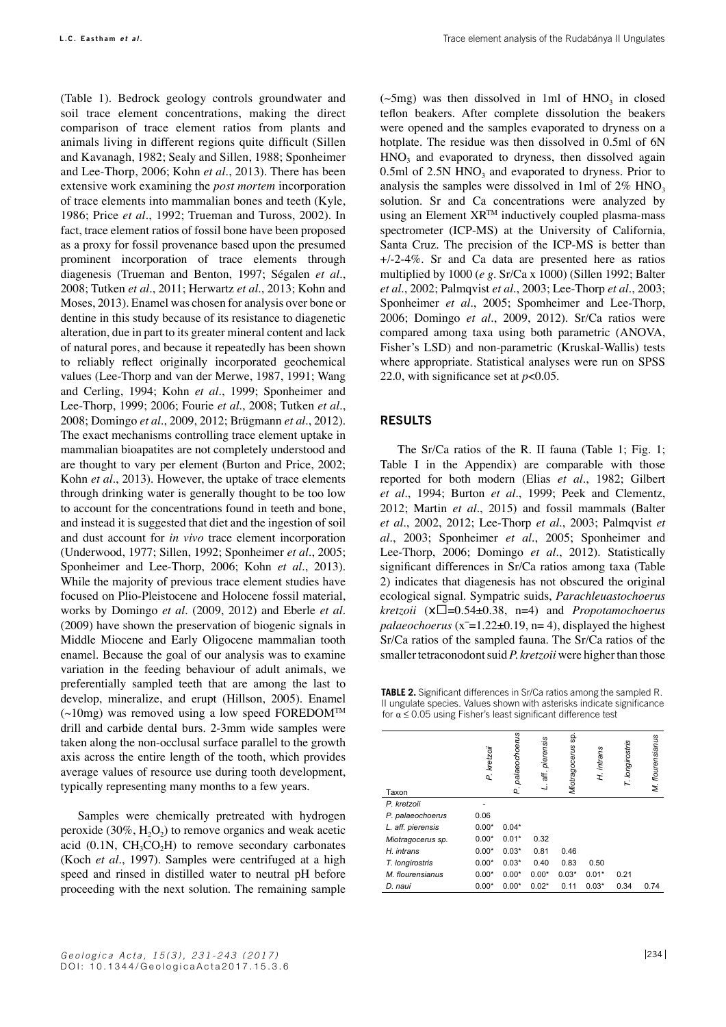(Table 1). Bedrock geology controls groundwater and soil trace element concentrations, making the direct comparison of trace element ratios from plants and animals living in different regions quite difficult (Sillen and Kavanagh, 1982; Sealy and Sillen, 1988; Sponheimer and Lee-Thorp, 2006; Kohn *et al.*, 2013). There has been extensive work examining the *post mortem* incorporation of trace elements into mammalian bones and teeth (Kyle, 1986; Price *et al.*, 1992; Trueman and Tuross, 2002). In fact, trace element ratios of fossil bone have been proposed as a proxy for fossil provenance based upon the presumed prominent incorporation of trace elements through diagenesis (Trueman and Benton, 1997; Ségalen *et al.*, 2008; Tutken *et al.*, 2011; Herwartz *et al.*, 2013; Kohn and Moses, 2013). Enamel was chosen for analysis over bone or dentine in this study because of its resistance to diagenetic alteration, due in part to its greater mineral content and lack of natural pores, and because it repeatedly has been shown to reliably reflect originally incorporated geochemical values (Lee-Thorp and van der Merwe, 1987, 1991; Wang and Cerling, 1994; Kohn *et al.*, 1999; Sponheimer and Lee-Thorp, 1999; 2006; Fourie *et al.*, 2008; Tutken *et al.*, 2008; Domingo *et al.*, 2009, 2012; Brügmann *et al.*, 2012). The exact mechanisms controlling trace element uptake in mammalian bioapatites are not completely understood and are thought to vary per element (Burton and Price, 2002; Kohn *et al.*, 2013). However, the uptake of trace elements through drinking water is generally thought to be too low to account for the concentrations found in teeth and bone, and instead it is suggested that diet and the ingestion of soil and dust account for *in vivo* trace element incorporation (Underwood, 1977; Sillen, 1992; Sponheimer *et al.*, 2005; Sponheimer and Lee-Thorp, 2006; Kohn *et al.*, 2013). While the majority of previous trace element studies have focused on Plio-Pleistocene and Holocene fossil material, works by Domingo *et al.* (2009, 2012) and Eberle *et al.* (2009) have shown the preservation of biogenic signals in Middle Miocene and Early Oligocene mammalian tooth enamel. Because the goal of our analysis was to examine variation in the feeding behaviour of adult animals, we preferentially sampled teeth that are among the last to develop, mineralize, and erupt (Hillson, 2005). Enamel  $(\sim 10$ mg) was removed using a low speed FOREDOM<sup>TM</sup> drill and carbide dental burs. 2-3mm wide samples were taken along the non-occlusal surface parallel to the growth axis across the entire length of the tooth, which provides average values of resource use during tooth development, typically representing many months to a few years.

Samples were chemically pretreated with hydrogen peroxide  $(30\%, H<sub>2</sub>O<sub>2</sub>)$  to remove organics and weak acetic acid  $(0.1N, CH<sub>3</sub>CO<sub>2</sub>H)$  to remove secondary carbonates (Koch *et al.*, 1997). Samples were centrifuged at a high speed and rinsed in distilled water to neutral pH before proceeding with the next solution. The remaining sample ( $\sim$ 5mg) was then dissolved in 1ml of HNO<sub>3</sub> in closed teflon beakers. After complete dissolution the beakers were opened and the samples evaporated to dryness on a hotplate. The residue was then dissolved in 0.5ml of 6N  $HNO<sub>3</sub>$  and evaporated to dryness, then dissolved again 0.5ml of 2.5N  $HNO<sub>3</sub>$  and evaporated to dryness. Prior to analysis the samples were dissolved in 1ml of  $2\%$  HNO<sub>3</sub> solution. Sr and Ca concentrations were analyzed by using an Element  $XR^{TM}$  inductively coupled plasma-mass spectrometer (ICP-MS) at the University of California, Santa Cruz. The precision of the ICP-MS is better than +/-2-4%. Sr and Ca data are presented here as ratios multiplied by 1000 (*e g.* Sr/Ca x 1000) (Sillen 1992; Balter *et al.*, 2002; Palmqvist *et al.*, 2003; Lee-Thorp *et al.*, 2003; Sponheimer *et al.*, 2005; Spomheimer and Lee-Thorp, 2006; Domingo *et al.*, 2009, 2012). Sr/Ca ratios were compared among taxa using both parametric (ANOVA, Fisher's LSD) and non-parametric (Kruskal-Wallis) tests where appropriate. Statistical analyses were run on SPSS 22.0, with significance set at *p*<0.05.

## **results**

The Sr/Ca ratios of the R. II fauna (Table 1; Fig. 1; Table I in the Appendix) are comparable with those reported for both modern (Elias *et al.*, 1982; Gilbert *et al.*, 1994; Burton *et al.*, 1999; Peek and Clementz, 2012; Martin *et al.*, 2015) and fossil mammals (Balter *et al.*, 2002, 2012; Lee-Thorp *et al.*, 2003; Palmqvist *et al.*, 2003; Sponheimer *et al.*, 2005; Sponheimer and Lee-Thorp, 2006; Domingo *et al.*, 2012). Statistically significant differences in Sr/Ca ratios among taxa (Table 2) indicates that diagenesis has not obscured the original ecological signal. Sympatric suids, *Parachleuastochoerus kretzoii* (x̅=0.54±0.38, n=4) and *Propotamochoerus palaeochoerus* ( $x=1.22\pm0.19$ ,  $n=4$ ), displayed the highest Sr/Ca ratios of the sampled fauna. The Sr/Ca ratios of the smaller tetraconodont suid *P. kretzoii* were higher than those

**TABLE 2.** Significant differences in Sr/Ca ratios among the sampled R. II ungulate species. Values shown with asterisks indicate significance for  $\alpha \leq 0.05$  using Fisher's least significant difference test

| Taxon             | P. kretzoii | palaeochoerus<br>σ. | pierensis<br>ăĘ<br>ند | ş.<br>Miotragocerus | H. intrans | T. longirostris | M. flourensianus |
|-------------------|-------------|---------------------|-----------------------|---------------------|------------|-----------------|------------------|
| P. kretzoii       |             |                     |                       |                     |            |                 |                  |
| P. palaeochoerus  | 0.06        |                     |                       |                     |            |                 |                  |
| L. aff. pierensis | $0.00*$     | $0.04*$             |                       |                     |            |                 |                  |
| Miotragocerus sp. | $0.00*$     | $0.01*$             | 0.32                  |                     |            |                 |                  |
| H. intrans        | $0.00*$     | $0.03*$             | 0.81                  | 0.46                |            |                 |                  |
| T. longirostris   | $0.00*$     | $0.03*$             | 0.40                  | 0.83                | 0.50       |                 |                  |
| M. flourensianus  | $0.00*$     | $0.00*$             | $0.00*$               | $0.03*$             | $0.01*$    | 0.21            |                  |
| D. naui           | $0.00*$     | $0.00*$             | $0.02*$               | 0.11                | $0.03*$    | 0.34            | 0.74             |
|                   |             |                     |                       |                     |            |                 |                  |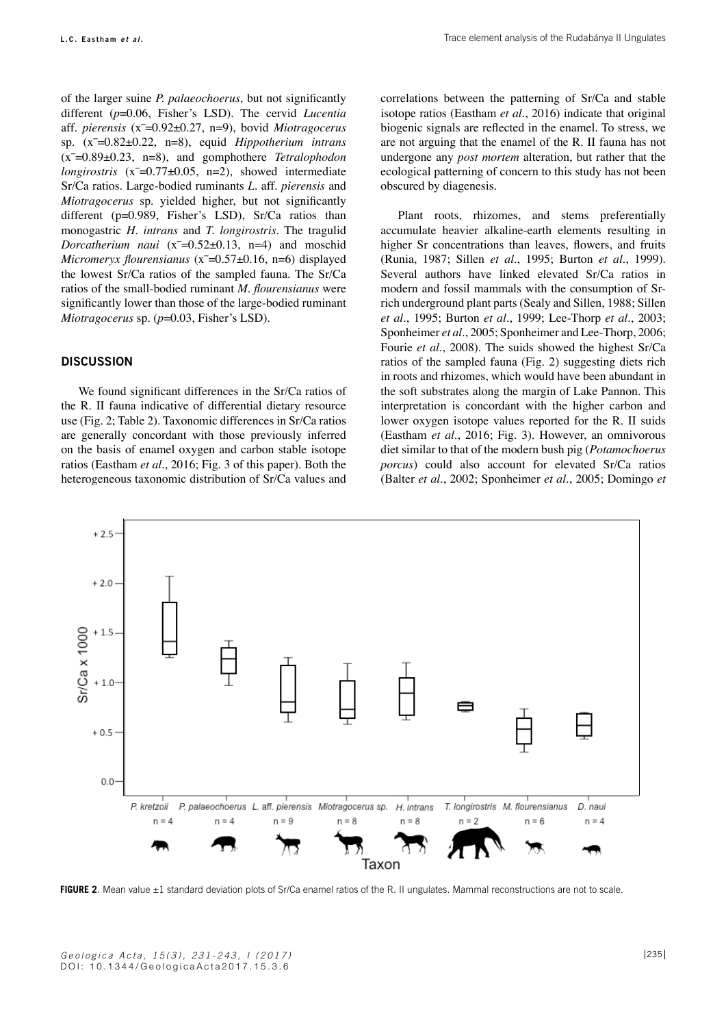of the larger suine *P. palaeochoerus*, but not significantly different (*p*=0.06, Fisher's LSD). The cervid *Lucentia* aff. *pierensis* (x̅=0.92±0.27, n=9), bovid *Miotragocerus* sp. (x̅=0.82±0.22, n=8), equid *Hippotherium intrans* (x̅=0.89±0.23, n=8), and gomphothere *Tetralophodon longirostris* (x̅=0.77±0.05, n=2), showed intermediate Sr/Ca ratios. Large-bodied ruminants *L.* aff. *pierensis* and *Miotragocerus* sp. yielded higher, but not significantly different (p=0.989, Fisher's LSD), Sr/Ca ratios than monogastric *H. intrans* and *T. longirostris*. The tragulid *Dorcatherium naui* (x<sup> $=$ </sup>0.52±0.13, n=4) and moschid *Micromeryx flourensianus* (x<sup> $=$ 0.57±0.16, n=6) displayed</sup> the lowest Sr/Ca ratios of the sampled fauna. The Sr/Ca ratios of the small-bodied ruminant *M. flourensianus* were significantly lower than those of the large-bodied ruminant *Miotragocerus* sp. (*p*=0.03, Fisher's LSD).

## **Discussion**

We found significant differences in the Sr/Ca ratios of the R. II fauna indicative of differential dietary resource use (Fig. 2; Table 2). Taxonomic differences in Sr/Ca ratios are generally concordant with those previously inferred on the basis of enamel oxygen and carbon stable isotope ratios (Eastham *et al.*, 2016; Fig. 3 of this paper). Both the heterogeneous taxonomic distribution of Sr/Ca values and correlations between the patterning of Sr/Ca and stable isotope ratios (Eastham *et al.*, 2016) indicate that original biogenic signals are reflected in the enamel. To stress, we are not arguing that the enamel of the R. II fauna has not undergone any *post mortem* alteration, but rather that the ecological patterning of concern to this study has not been obscured by diagenesis.

Plant roots, rhizomes, and stems preferentially accumulate heavier alkaline-earth elements resulting in higher Sr concentrations than leaves, flowers, and fruits (Runia, 1987; Sillen *et al.*, 1995; Burton *et al.*, 1999). Several authors have linked elevated Sr/Ca ratios in modern and fossil mammals with the consumption of Srrich underground plant parts (Sealy and Sillen, 1988; Sillen *et al.*, 1995; Burton *et al.*, 1999; Lee-Thorp *et al.*, 2003; Sponheimer *et al.*, 2005; Sponheimer and Lee-Thorp, 2006; Fourie *et al.*, 2008). The suids showed the highest Sr/Ca ratios of the sampled fauna (Fig. 2) suggesting diets rich in roots and rhizomes, which would have been abundant in the soft substrates along the margin of Lake Pannon. This interpretation is concordant with the higher carbon and lower oxygen isotope values reported for the R. II suids (Eastham *et al.*, 2016; Fig. 3). However, an omnivorous diet similar to that of the modern bush pig (*Potamochoerus porcus*) could also account for elevated Sr/Ca ratios (Balter *et al.*, 2002; Sponheimer *et al.*, 2005; Domingo *et* 



FIGURE 2. Mean value ±1 standard deviation plots of Sr/Ca enamel ratios of the R. II ungulates. Mammal reconstructions are not to scale.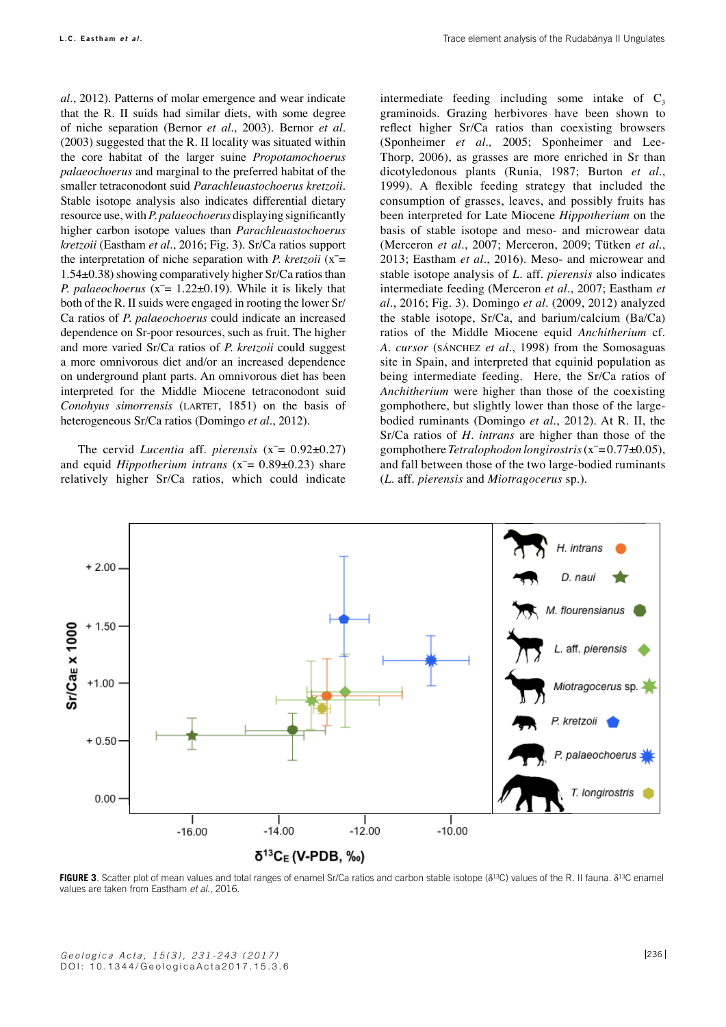*al.*, 2012). Patterns of molar emergence and wear indicate that the R. II suids had similar diets, with some degree of niche separation (Bernor *et al.*, 2003). Bernor *et al.* (2003) suggested that the R. II locality was situated within the core habitat of the larger suine *Propotamochoerus palaeochoerus* and marginal to the preferred habitat of the smaller tetraconodont suid *Parachleuastochoerus kretzoii*. Stable isotope analysis also indicates differential dietary resource use, with *P. palaeochoerus* displaying significantly higher carbon isotope values than *Parachleuastochoerus kretzoii* (Eastham *et al.*, 2016; Fig. 3). Sr/Ca ratios support the interpretation of niche separation with *P. kretzoii* (x̅= 1.54±0.38) showing comparatively higher Sr/Ca ratios than *P. palaeochoerus* (x̅= 1.22±0.19). While it is likely that both of the R. II suids were engaged in rooting the lower Sr/ Ca ratios of *P. palaeochoerus* could indicate an increased dependence on Sr-poor resources, such as fruit. The higher and more varied Sr/Ca ratios of *P. kretzoii* could suggest a more omnivorous diet and/or an increased dependence on underground plant parts. An omnivorous diet has been interpreted for the Middle Miocene tetraconodont suid *Conohyus simorrensis* (LARTET, 1851) on the basis of heterogeneous Sr/Ca ratios (Domingo *et al.*, 2012).

The cervid *Lucentia* aff. *pierensis* (x̅= 0.92±0.27) and equid *Hippotherium intrans* (x̅= 0.89±0.23) share relatively higher Sr/Ca ratios, which could indicate intermediate feeding including some intake of  $C_3$ graminoids. Grazing herbivores have been shown to reflect higher Sr/Ca ratios than coexisting browsers (Sponheimer *et al.,* 2005; Sponheimer and Lee-Thorp, 2006), as grasses are more enriched in Sr than dicotyledonous plants (Runia, 1987; Burton *et al.*, 1999). A flexible feeding strategy that included the consumption of grasses, leaves, and possibly fruits has been interpreted for Late Miocene *Hippotherium* on the basis of stable isotope and meso- and microwear data (Merceron *et al.*, 2007; Merceron, 2009; Tütken *et al.*, 2013; Eastham *et al.*, 2016). Meso- and microwear and stable isotope analysis of *L.* aff. *pierensis* also indicates intermediate feeding (Merceron *et al.*, 2007; Eastham *et al.*, 2016; Fig. 3). Domingo *et al.* (2009, 2012) analyzed the stable isotope, Sr/Ca, and barium/calcium (Ba/Ca) ratios of the Middle Miocene equid *Anchitherium* cf. *A. cursor* (sánchez *et al.*, 1998) from the Somosaguas site in Spain, and interpreted that equinid population as being intermediate feeding. Here, the Sr/Ca ratios of *Anchitherium* were higher than those of the coexisting gomphothere, but slightly lower than those of the largebodied ruminants (Domingo *et al.*, 2012). At R. II, the Sr/Ca ratios of *H. intrans* are higher than those of the gomphothere *Tetralophodon longirostris* (x̅= 0.77±0.05), and fall between those of the two large-bodied ruminants (*L.* aff. *pierensis* and *Miotragocerus* sp.).



**FIGURE 3**. Scatter plot of mean values and total ranges of enamel Sr/Ca ratios and carbon stable isotope (δ<sup>13</sup>C) values of the R. II fauna. δ<sup>13</sup>C enamel values are taken from Eastham *et al.*, 2016.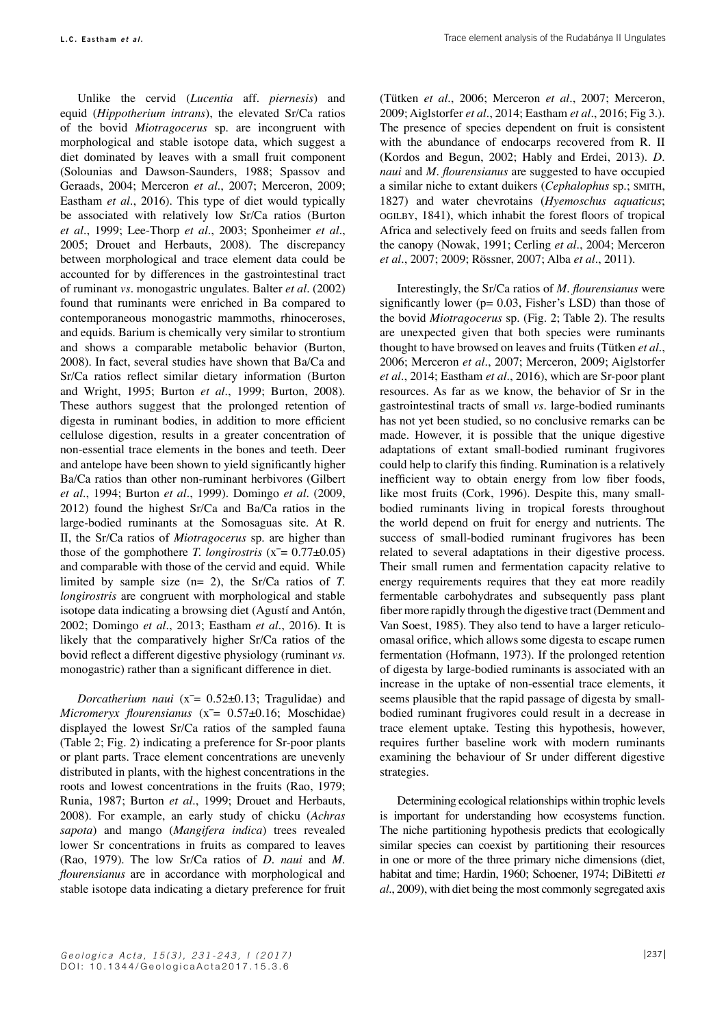Unlike the cervid (*Lucentia* aff. *piernesis*) and equid (*Hippotherium intrans*), the elevated Sr/Ca ratios of the bovid *Miotragocerus* sp. are incongruent with morphological and stable isotope data, which suggest a diet dominated by leaves with a small fruit component (Solounias and Dawson-Saunders, 1988; Spassov and Geraads, 2004; Merceron *et al.*, 2007; Merceron, 2009; Eastham *et al.*, 2016). This type of diet would typically be associated with relatively low Sr/Ca ratios (Burton *et al.*, 1999; Lee-Thorp *et al.*, 2003; Sponheimer *et al.*, 2005; Drouet and Herbauts, 2008). The discrepancy between morphological and trace element data could be accounted for by differences in the gastrointestinal tract of ruminant *vs.* monogastric ungulates. Balter *et al.* (2002) found that ruminants were enriched in Ba compared to contemporaneous monogastric mammoths, rhinoceroses, and equids. Barium is chemically very similar to strontium and shows a comparable metabolic behavior (Burton, 2008). In fact, several studies have shown that Ba/Ca and Sr/Ca ratios reflect similar dietary information (Burton and Wright, 1995; Burton *et al.*, 1999; Burton, 2008). These authors suggest that the prolonged retention of digesta in ruminant bodies, in addition to more efficient cellulose digestion, results in a greater concentration of non-essential trace elements in the bones and teeth. Deer and antelope have been shown to yield significantly higher Ba/Ca ratios than other non-ruminant herbivores (Gilbert *et al.*, 1994; Burton *et al.*, 1999). Domingo *et al.* (2009, 2012) found the highest Sr/Ca and Ba/Ca ratios in the large-bodied ruminants at the Somosaguas site. At R. II, the Sr/Ca ratios of *Miotragocerus* sp. are higher than those of the gomphothere *T. longirostris* ( $x = 0.77 \pm 0.05$ ) and comparable with those of the cervid and equid. While limited by sample size (n= 2), the Sr/Ca ratios of *T. longirostris* are congruent with morphological and stable isotope data indicating a browsing diet (Agustí and Antón, 2002; Domingo *et al.*, 2013; Eastham *et al.*, 2016). It is likely that the comparatively higher Sr/Ca ratios of the bovid reflect a different digestive physiology (ruminant *vs.* monogastric) rather than a significant difference in diet.

*Dorcatherium naui* (x̅= 0.52±0.13; Tragulidae) and *Micromeryx flourensianus* (x̅= 0.57±0.16; Moschidae) displayed the lowest Sr/Ca ratios of the sampled fauna (Table 2; Fig. 2) indicating a preference for Sr-poor plants or plant parts. Trace element concentrations are unevenly distributed in plants, with the highest concentrations in the roots and lowest concentrations in the fruits (Rao, 1979; Runia, 1987; Burton *et al.*, 1999; Drouet and Herbauts, 2008). For example, an early study of chicku (*Achras sapota*) and mango (*Mangifera indica*) trees revealed lower Sr concentrations in fruits as compared to leaves (Rao, 1979). The low Sr/Ca ratios of *D. naui* and *M. flourensianus* are in accordance with morphological and stable isotope data indicating a dietary preference for fruit (Tütken *et al.*, 2006; Merceron *et al.*, 2007; Merceron, 2009; Aiglstorfer *et al.*, 2014; Eastham *et al.*, 2016; Fig 3.). The presence of species dependent on fruit is consistent with the abundance of endocarps recovered from R. II (Kordos and Begun, 2002; Hably and Erdei, 2013). *D. naui* and *M. flourensianus* are suggested to have occupied a similar niche to extant duikers (*Cephalophus* sp.; smith, 1827) and water chevrotains (*Hyemoschus aquaticus*; ogilby, 1841), which inhabit the forest floors of tropical Africa and selectively feed on fruits and seeds fallen from the canopy (Nowak, 1991; Cerling *et al.*, 2004; Merceron *et al.*, 2007; 2009; Rössner, 2007; Alba *et al.*, 2011).

Interestingly, the Sr/Ca ratios of *M. flourensianus* were significantly lower ( $p= 0.03$ , Fisher's LSD) than those of the bovid *Miotragocerus* sp. (Fig. 2; Table 2). The results are unexpected given that both species were ruminants thought to have browsed on leaves and fruits (Tütken *et al.*, 2006; Merceron *et al.*, 2007; Merceron, 2009; Aiglstorfer *et al.*, 2014; Eastham *et al.*, 2016), which are Sr-poor plant resources. As far as we know, the behavior of Sr in the gastrointestinal tracts of small *vs.* large-bodied ruminants has not yet been studied, so no conclusive remarks can be made. However, it is possible that the unique digestive adaptations of extant small-bodied ruminant frugivores could help to clarify this finding. Rumination is a relatively inefficient way to obtain energy from low fiber foods, like most fruits (Cork, 1996). Despite this, many smallbodied ruminants living in tropical forests throughout the world depend on fruit for energy and nutrients. The success of small-bodied ruminant frugivores has been related to several adaptations in their digestive process. Their small rumen and fermentation capacity relative to energy requirements requires that they eat more readily fermentable carbohydrates and subsequently pass plant fiber more rapidly through the digestive tract (Demment and Van Soest, 1985). They also tend to have a larger reticuloomasal orifice, which allows some digesta to escape rumen fermentation (Hofmann, 1973). If the prolonged retention of digesta by large-bodied ruminants is associated with an increase in the uptake of non-essential trace elements, it seems plausible that the rapid passage of digesta by smallbodied ruminant frugivores could result in a decrease in trace element uptake. Testing this hypothesis, however, requires further baseline work with modern ruminants examining the behaviour of Sr under different digestive strategies.

Determining ecological relationships within trophic levels is important for understanding how ecosystems function. The niche partitioning hypothesis predicts that ecologically similar species can coexist by partitioning their resources in one or more of the three primary niche dimensions (diet, habitat and time; Hardin, 1960; Schoener, 1974; DiBitetti *et al.*, 2009), with diet being the most commonly segregated axis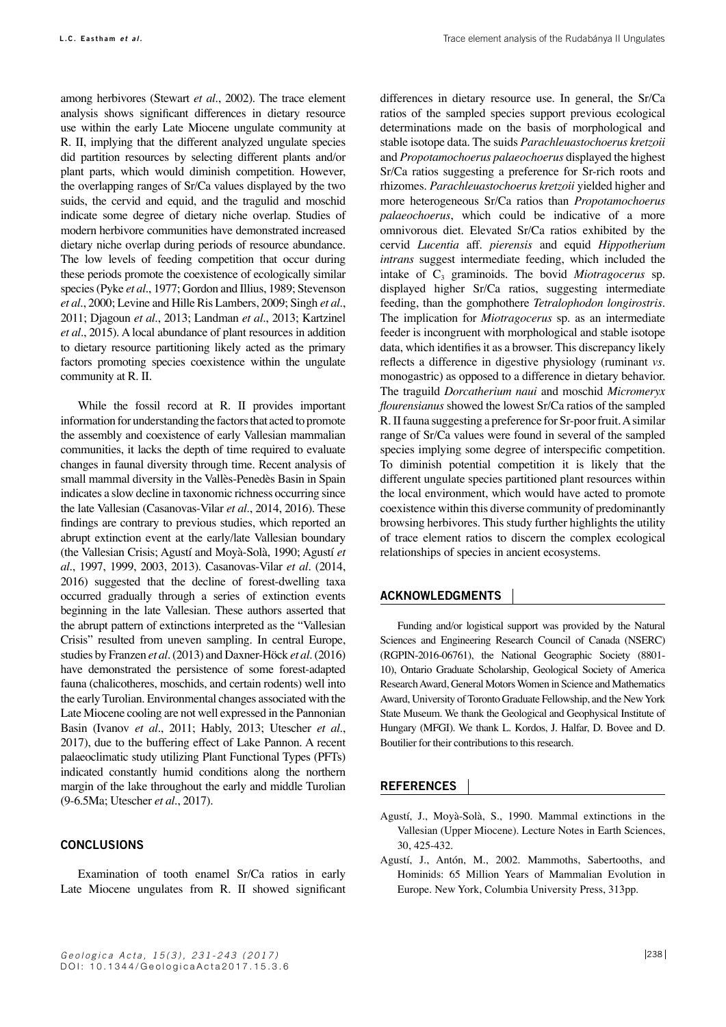among herbivores (Stewart *et al.*, 2002). The trace element analysis shows significant differences in dietary resource use within the early Late Miocene ungulate community at R. II, implying that the different analyzed ungulate species did partition resources by selecting different plants and/or plant parts, which would diminish competition. However, the overlapping ranges of Sr/Ca values displayed by the two suids, the cervid and equid, and the tragulid and moschid indicate some degree of dietary niche overlap. Studies of modern herbivore communities have demonstrated increased dietary niche overlap during periods of resource abundance. The low levels of feeding competition that occur during these periods promote the coexistence of ecologically similar species (Pyke *et al.*, 1977; Gordon and Illius, 1989; Stevenson *et al.*, 2000; Levine and Hille Ris Lambers, 2009; Singh *et al.*, 2011; Djagoun *et al.*, 2013; Landman *et al.*, 2013; Kartzinel *et al.*, 2015). A local abundance of plant resources in addition to dietary resource partitioning likely acted as the primary factors promoting species coexistence within the ungulate community at R. II.

While the fossil record at R. II provides important information for understanding the factors that acted to promote the assembly and coexistence of early Vallesian mammalian communities, it lacks the depth of time required to evaluate changes in faunal diversity through time. Recent analysis of small mammal diversity in the Vallès-Penedès Basin in Spain indicates a slow decline in taxonomic richness occurring since the late Vallesian (Casanovas-Vilar *et al.*, 2014, 2016). These findings are contrary to previous studies, which reported an abrupt extinction event at the early/late Vallesian boundary (the Vallesian Crisis; Agustí and Moyà-Solà, 1990; Agustí *et al.*, 1997, 1999, 2003, 2013). Casanovas-Vilar *et al.* (2014, 2016) suggested that the decline of forest-dwelling taxa occurred gradually through a series of extinction events beginning in the late Vallesian. These authors asserted that the abrupt pattern of extinctions interpreted as the "Vallesian Crisis" resulted from uneven sampling. In central Europe, studies by Franzen *et al.* (2013) and Daxner-Höck *et al.* (2016) have demonstrated the persistence of some forest-adapted fauna (chalicotheres, moschids, and certain rodents) well into the early Turolian. Environmental changes associated with the Late Miocene cooling are not well expressed in the Pannonian Basin (Ivanov *et al.*, 2011; Hably, 2013; Utescher *et al.*, 2017), due to the buffering effect of Lake Pannon. A recent palaeoclimatic study utilizing Plant Functional Types (PFTs) indicated constantly humid conditions along the northern margin of the lake throughout the early and middle Turolian (9-6.5Ma; Utescher *et al.*, 2017).

### **conclusions**

Examination of tooth enamel Sr/Ca ratios in early Late Miocene ungulates from R. II showed significant

differences in dietary resource use. In general, the Sr/Ca ratios of the sampled species support previous ecological determinations made on the basis of morphological and stable isotope data. The suids *Parachleuastochoerus kretzoii* and *Propotamochoerus palaeochoerus* displayed the highest Sr/Ca ratios suggesting a preference for Sr-rich roots and rhizomes. *Parachleuastochoerus kretzoii* yielded higher and more heterogeneous Sr/Ca ratios than *Propotamochoerus palaeochoerus*, which could be indicative of a more omnivorous diet. Elevated Sr/Ca ratios exhibited by the cervid *Lucentia* aff. *pierensis* and equid *Hippotherium intrans* suggest intermediate feeding, which included the intake of C<sub>3</sub> graminoids. The bovid *Miotragocerus* sp. displayed higher Sr/Ca ratios, suggesting intermediate feeding, than the gomphothere *Tetralophodon longirostris*. The implication for *Miotragocerus* sp. as an intermediate feeder is incongruent with morphological and stable isotope data, which identifies it as a browser. This discrepancy likely reflects a difference in digestive physiology (ruminant *vs.* monogastric) as opposed to a difference in dietary behavior. The traguild *Dorcatherium naui* and moschid *Micromeryx flourensianus* showed the lowest Sr/Ca ratios of the sampled R. II fauna suggesting a preference for Sr-poor fruit. A similar range of Sr/Ca values were found in several of the sampled species implying some degree of interspecific competition. To diminish potential competition it is likely that the different ungulate species partitioned plant resources within the local environment, which would have acted to promote coexistence within this diverse community of predominantly browsing herbivores. This study further highlights the utility of trace element ratios to discern the complex ecological relationships of species in ancient ecosystems.

### **ACKNOWLEDGMENTS**

Funding and/or logistical support was provided by the Natural Sciences and Engineering Research Council of Canada (NSERC) (RGPIN-2016-06761), the National Geographic Society (8801- 10), Ontario Graduate Scholarship, Geological Society of America Research Award, General Motors Women in Science and Mathematics Award, University of Toronto Graduate Fellowship, and the New York State Museum. We thank the Geological and Geophysical Institute of Hungary (MFGI). We thank L. Kordos, J. Halfar, D. Bovee and D. Boutilier for their contributions to this research.

#### **REFERENCES**

- Agustí, J., Moyà-Solà, S., 1990. Mammal extinctions in the Vallesian (Upper Miocene). Lecture Notes in Earth Sciences, 30, 425-432.
- Agustí, J., Antón, M., 2002. Mammoths, Sabertooths, and Hominids: 65 Million Years of Mammalian Evolution in Europe. New York, Columbia University Press, 313pp.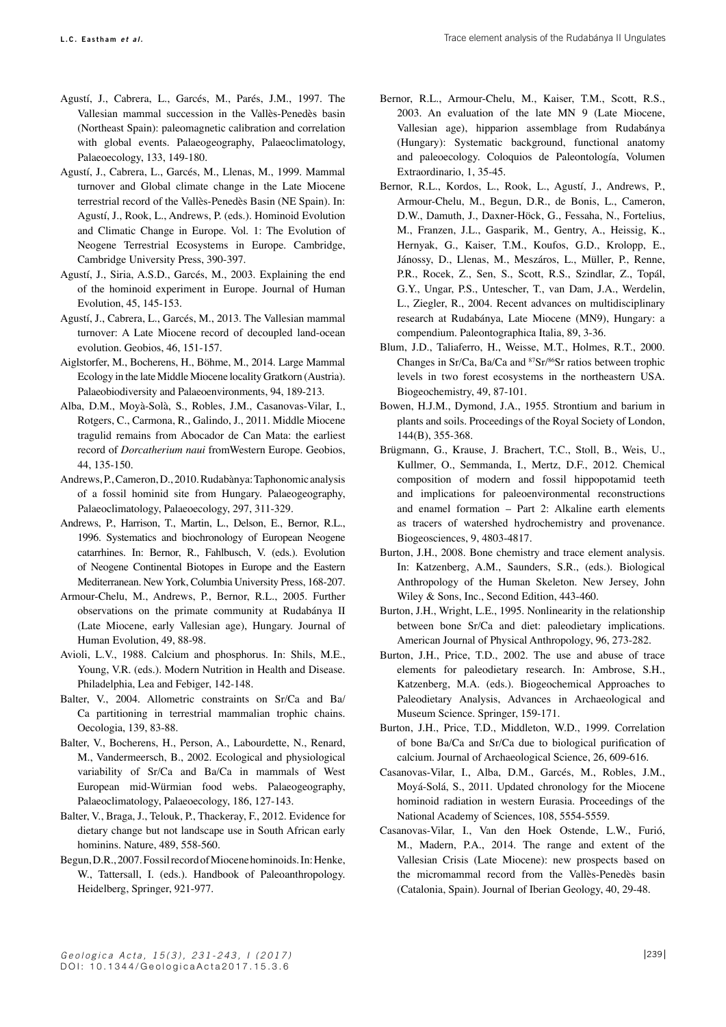- Agustí, J., Cabrera, L., Garcés, M., Parés, J.M., 1997. The Vallesian mammal succession in the Vallès-Penedès basin (Northeast Spain): paleomagnetic calibration and correlation with global events. Palaeogeography, Palaeoclimatology, Palaeoecology, 133, 149-180.
- Agustí, J., Cabrera, L., Garcés, M., Llenas, M., 1999. Mammal turnover and Global climate change in the Late Miocene terrestrial record of the Vallès-Penedès Basin (NE Spain). In: Agustí, J., Rook, L., Andrews, P. (eds.). Hominoid Evolution and Climatic Change in Europe. Vol. 1: The Evolution of Neogene Terrestrial Ecosystems in Europe. Cambridge, Cambridge University Press, 390-397.
- Agustí, J., Siria, A.S.D., Garcés, M., 2003. Explaining the end of the hominoid experiment in Europe. Journal of Human Evolution, 45, 145-153.
- Agustí, J., Cabrera, L., Garcés, M., 2013. The Vallesian mammal turnover: A Late Miocene record of decoupled land-ocean evolution. Geobios, 46, 151-157.
- Aiglstorfer, M., Bocherens, H., Böhme, M., 2014. Large Mammal Ecology in the late Middle Miocene locality Gratkorn (Austria). Palaeobiodiversity and Palaeoenvironments, 94, 189-213.
- Alba, D.M., Moyà-Solà, S., Robles, J.M., Casanovas-Vilar, I., Rotgers, C., Carmona, R., Galindo, J., 2011. Middle Miocene tragulid remains from Abocador de Can Mata: the earliest record of *Dorcatherium naui* fromWestern Europe. Geobios, 44, 135-150.
- Andrews, P., Cameron, D., 2010. Rudabànya: Taphonomic analysis of a fossil hominid site from Hungary. Palaeogeography, Palaeoclimatology, Palaeoecology, 297, 311-329.
- Andrews, P., Harrison, T., Martin, L., Delson, E., Bernor, R.L., 1996. Systematics and biochronology of European Neogene catarrhines. In: Bernor, R., Fahlbusch, V. (eds.). Evolution of Neogene Continental Biotopes in Europe and the Eastern Mediterranean. New York, Columbia University Press, 168-207.
- Armour-Chelu, M., Andrews, P., Bernor, R.L., 2005. Further observations on the primate community at Rudabánya II (Late Miocene, early Vallesian age), Hungary. Journal of Human Evolution, 49, 88-98.
- Avioli, L.V., 1988. Calcium and phosphorus. In: Shils, M.E., Young, V.R. (eds.). Modern Nutrition in Health and Disease. Philadelphia, Lea and Febiger, 142-148.
- Balter, V., 2004. Allometric constraints on Sr/Ca and Ba/ Ca partitioning in terrestrial mammalian trophic chains. Oecologia, 139, 83-88.
- Balter, V., Bocherens, H., Person, A., Labourdette, N., Renard, M., Vandermeersch, B., 2002. Ecological and physiological variability of Sr/Ca and Ba/Ca in mammals of West European mid-Würmian food webs. Palaeogeography, Palaeoclimatology, Palaeoecology, 186, 127-143.
- Balter, V., Braga, J., Telouk, P., Thackeray, F., 2012. Evidence for dietary change but not landscape use in South African early hominins. Nature, 489, 558-560.
- Begun, D.R., 2007. Fossil record of Miocene hominoids. In: Henke, W., Tattersall, I. (eds.). Handbook of Paleoanthropology. Heidelberg, Springer, 921-977.
- Bernor, R.L., Armour-Chelu, M., Kaiser, T.M., Scott, R.S., 2003. An evaluation of the late MN 9 (Late Miocene, Vallesian age), hipparion assemblage from Rudabánya (Hungary): Systematic background, functional anatomy and paleoecology. Coloquios de Paleontología, Volumen Extraordinario, 1, 35-45.
- Bernor, R.L., Kordos, L., Rook, L., Agustí, J., Andrews, P., Armour-Chelu, M., Begun, D.R., de Bonis, L., Cameron, D.W., Damuth, J., Daxner-Höck, G., Fessaha, N., Fortelius, M., Franzen, J.L., Gasparik, M., Gentry, A., Heissig, K., Hernyak, G., Kaiser, T.M., Koufos, G.D., Krolopp, E., Jánossy, D., Llenas, M., Meszáros, L., Müller, P., Renne, P.R., Rocek, Z., Sen, S., Scott, R.S., Szindlar, Z., Topál, G.Y., Ungar, P.S., Untescher, T., van Dam, J.A., Werdelin, L., Ziegler, R., 2004. Recent advances on multidisciplinary research at Rudabánya, Late Miocene (MN9), Hungary: a compendium. Paleontographica Italia, 89, 3-36.
- Blum, J.D., Taliaferro, H., Weisse, M.T., Holmes, R.T., 2000. Changes in Sr/Ca, Ba/Ca and 87Sr/86Sr ratios between trophic levels in two forest ecosystems in the northeastern USA. Biogeochemistry, 49, 87-101.
- Bowen, H.J.M., Dymond, J.A., 1955. Strontium and barium in plants and soils. Proceedings of the Royal Society of London, 144(B), 355-368.
- Brügmann, G., Krause, J. Brachert, T.C., Stoll, B., Weis, U., Kullmer, O., Semmanda, I., Mertz, D.F., 2012. Chemical composition of modern and fossil hippopotamid teeth and implications for paleoenvironmental reconstructions and enamel formation – Part 2: Alkaline earth elements as tracers of watershed hydrochemistry and provenance. Biogeosciences, 9, 4803-4817.
- Burton, J.H., 2008. Bone chemistry and trace element analysis. In: Katzenberg, A.M., Saunders, S.R., (eds.). Biological Anthropology of the Human Skeleton. New Jersey, John Wiley & Sons, Inc., Second Edition, 443-460.
- Burton, J.H., Wright, L.E., 1995. Nonlinearity in the relationship between bone Sr/Ca and diet: paleodietary implications. American Journal of Physical Anthropology, 96, 273-282.
- Burton, J.H., Price, T.D., 2002. The use and abuse of trace elements for paleodietary research. In: Ambrose, S.H., Katzenberg, M.A. (eds.). Biogeochemical Approaches to Paleodietary Analysis, Advances in Archaeological and Museum Science. Springer, 159-171.
- Burton, J.H., Price, T.D., Middleton, W.D., 1999. Correlation of bone Ba/Ca and Sr/Ca due to biological purification of calcium. Journal of Archaeological Science, 26, 609-616.
- Casanovas-Vilar, I., Alba, D.M., Garcés, M., Robles, J.M., Moyá-Solá, S., 2011. Updated chronology for the Miocene hominoid radiation in western Eurasia. Proceedings of the National Academy of Sciences, 108, 5554-5559.
- Casanovas-Vilar, I., Van den Hoek Ostende, L.W., Furió, M., Madern, P.A., 2014. The range and extent of the Vallesian Crisis (Late Miocene): new prospects based on the micromammal record from the Vallès-Penedès basin (Catalonia, Spain). Journal of Iberian Geology, 40, 29-48.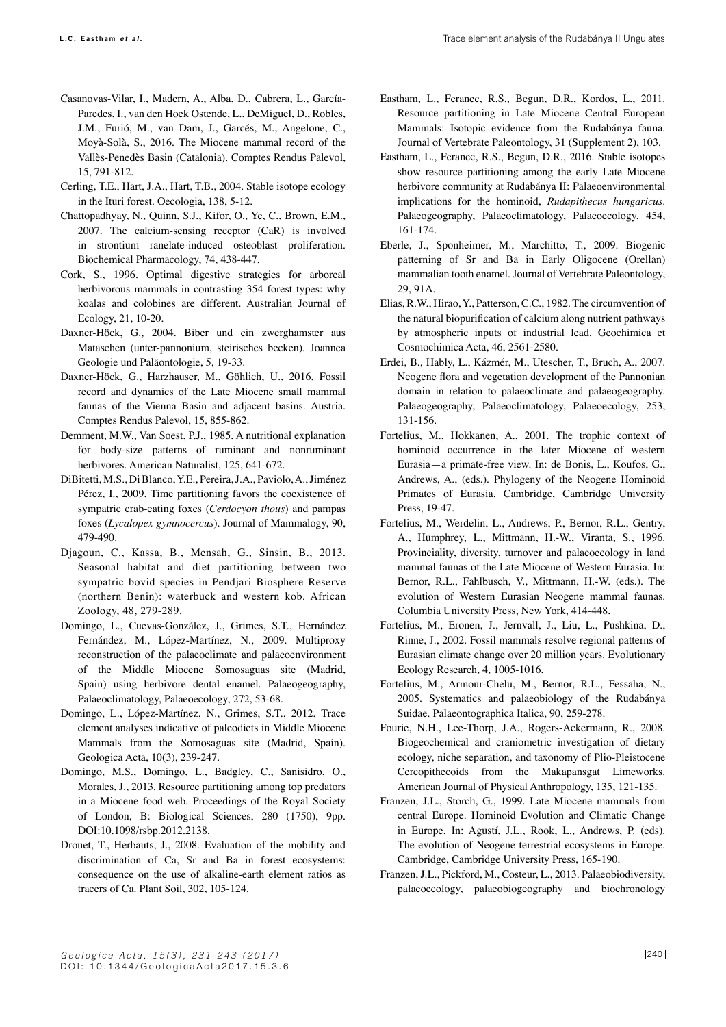- Casanovas-Vilar, I., Madern, A., Alba, D., Cabrera, L., García-Paredes, I., van den Hoek Ostende, L., DeMiguel, D., Robles, J.M., Furió, M., van Dam, J., Garcés, M., Angelone, C., Moyà-Solà, S., 2016. The Miocene mammal record of the Vallès-Penedès Basin (Catalonia). Comptes Rendus Palevol, 15, 791-812.
- Cerling, T.E., Hart, J.A., Hart, T.B., 2004. Stable isotope ecology in the Ituri forest. Oecologia, 138, 5-12.
- Chattopadhyay, N., Quinn, S.J., Kifor, O., Ye, C., Brown, E.M., 2007. The calcium-sensing receptor (CaR) is involved in strontium ranelate-induced osteoblast proliferation. Biochemical Pharmacology, 74, 438-447.
- Cork, S., 1996. Optimal digestive strategies for arboreal herbivorous mammals in contrasting 354 forest types: why koalas and colobines are different. Australian Journal of Ecology, 21, 10-20.
- Daxner-Höck, G., 2004. Biber und ein zwerghamster aus Mataschen (unter-pannonium, steirisches becken). Joannea Geologie und Paläontologie, 5, 19-33.
- Daxner-Höck, G., Harzhauser, M., Göhlich, U., 2016. Fossil record and dynamics of the Late Miocene small mammal faunas of the Vienna Basin and adjacent basins. Austria. Comptes Rendus Palevol, 15, 855-862.
- Demment, M.W., Van Soest, P.J., 1985. A nutritional explanation for body-size patterns of ruminant and nonruminant herbivores. American Naturalist, 125, 641-672.
- DiBitetti, M.S., Di Blanco, Y.E., Pereira, J.A., Paviolo, A., Jiménez Pérez, I., 2009. Time partitioning favors the coexistence of sympatric crab-eating foxes (*Cerdocyon thous*) and pampas foxes (*Lycalopex gymnocercus*). Journal of Mammalogy, 90, 479-490.
- Djagoun, C., Kassa, B., Mensah, G., Sinsin, B., 2013. Seasonal habitat and diet partitioning between two sympatric bovid species in Pendjari Biosphere Reserve (northern Benin): waterbuck and western kob. African Zoology, 48, 279-289.
- Domingo, L., Cuevas-González, J., Grimes, S.T., Hernández Fernández, M., López-Martínez, N., 2009. Multiproxy reconstruction of the palaeoclimate and palaeoenvironment of the Middle Miocene Somosaguas site (Madrid, Spain) using herbivore dental enamel. Palaeogeography, Palaeoclimatology, Palaeoecology, 272, 53-68.
- Domingo, L., López-Martínez, N., Grimes, S.T., 2012. Trace element analyses indicative of paleodiets in Middle Miocene Mammals from the Somosaguas site (Madrid, Spain). Geologica Acta, 10(3), 239-247.
- Domingo, M.S., Domingo, L., Badgley, C., Sanisidro, O., Morales, J., 2013. Resource partitioning among top predators in a Miocene food web. Proceedings of the Royal Society of London, B: Biological Sciences, 280 (1750), 9pp. DOI:10.1098/rsbp.2012.2138.
- Drouet, T., Herbauts, J., 2008. Evaluation of the mobility and discrimination of Ca, Sr and Ba in forest ecosystems: consequence on the use of alkaline-earth element ratios as tracers of Ca. Plant Soil, 302, 105-124.
- Eastham, L., Feranec, R.S., Begun, D.R., Kordos, L., 2011. Resource partitioning in Late Miocene Central European Mammals: Isotopic evidence from the Rudabánya fauna. Journal of Vertebrate Paleontology, 31 (Supplement 2), 103.
- Eastham, L., Feranec, R.S., Begun, D.R., 2016. Stable isotopes show resource partitioning among the early Late Miocene herbivore community at Rudabánya II: Palaeoenvironmental implications for the hominoid, *Rudapithecus hungaricus*. Palaeogeography, Palaeoclimatology, Palaeoecology, 454, 161-174.
- Eberle, J., Sponheimer, M., Marchitto, T., 2009. Biogenic patterning of Sr and Ba in Early Oligocene (Orellan) mammalian tooth enamel. Journal of Vertebrate Paleontology, 29, 91A.
- Elias, R.W., Hirao, Y., Patterson, C.C., 1982. The circumvention of the natural biopurification of calcium along nutrient pathways by atmospheric inputs of industrial lead. Geochimica et Cosmochimica Acta, 46, 2561-2580.
- Erdei, B., Hably, L., Kázmér, M., Utescher, T., Bruch, A., 2007. Neogene flora and vegetation development of the Pannonian domain in relation to palaeoclimate and palaeogeography. Palaeogeography, Palaeoclimatology, Palaeoecology, 253, 131-156.
- Fortelius, M., Hokkanen, A., 2001. The trophic context of hominoid occurrence in the later Miocene of western Eurasia—a primate-free view. In: de Bonis, L., Koufos, G., Andrews, A., (eds.). Phylogeny of the Neogene Hominoid Primates of Eurasia. Cambridge, Cambridge University Press, 19-47.
- Fortelius, M., Werdelin, L., Andrews, P., Bernor, R.L., Gentry, A., Humphrey, L., Mittmann, H.-W., Viranta, S., 1996. Provinciality, diversity, turnover and palaeoecology in land mammal faunas of the Late Miocene of Western Eurasia. In: Bernor, R.L., Fahlbusch, V., Mittmann, H.-W. (eds.). The evolution of Western Eurasian Neogene mammal faunas. Columbia University Press, New York, 414-448.
- Fortelius, M., Eronen, J., Jernvall, J., Liu, L., Pushkina, D., Rinne, J., 2002. Fossil mammals resolve regional patterns of Eurasian climate change over 20 million years. Evolutionary Ecology Research, 4, 1005-1016.
- Fortelius, M., Armour-Chelu, M., Bernor, R.L., Fessaha, N., 2005. Systematics and palaeobiology of the Rudabánya Suidae. Palaeontographica Italica, 90, 259-278.
- Fourie, N.H., Lee-Thorp, J.A., Rogers-Ackermann, R., 2008. Biogeochemical and craniometric investigation of dietary ecology, niche separation, and taxonomy of Plio-Pleistocene Cercopithecoids from the Makapansgat Limeworks. American Journal of Physical Anthropology, 135, 121-135.
- Franzen, J.L., Storch, G., 1999. Late Miocene mammals from central Europe. Hominoid Evolution and Climatic Change in Europe. In: Agustí, J.L., Rook, L., Andrews, P. (eds). The evolution of Neogene terrestrial ecosystems in Europe. Cambridge, Cambridge University Press, 165-190.
- Franzen, J.L., Pickford, M., Costeur, L., 2013. Palaeobiodiversity, palaeoecology, palaeobiogeography and biochronology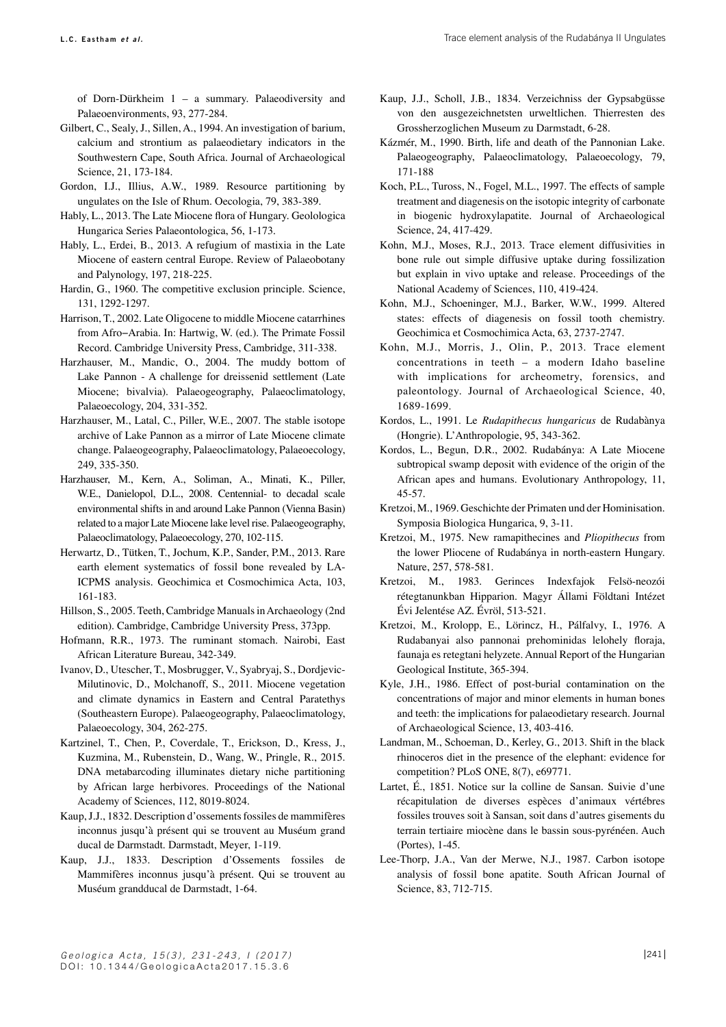of Dorn-Dürkheim 1 – a summary. Palaeodiversity and Palaeoenvironments, 93, 277-284.

- Gilbert, C., Sealy, J., Sillen, A., 1994. An investigation of barium, calcium and strontium as palaeodietary indicators in the Southwestern Cape, South Africa. Journal of Archaeological Science, 21, 173-184.
- Gordon, I.J., Illius, A.W., 1989. Resource partitioning by ungulates on the Isle of Rhum. Oecologia, 79, 383-389.
- Hably, L., 2013. The Late Miocene flora of Hungary. Geolologica Hungarica Series Palaeontologica, 56, 1-173.
- Hably, L., Erdei, B., 2013. A refugium of mastixia in the Late Miocene of eastern central Europe. Review of Palaeobotany and Palynology, 197, 218-225.
- Hardin, G., 1960. The competitive exclusion principle. Science, 131, 1292-1297.
- Harrison, T., 2002. Late Oligocene to middle Miocene catarrhines from Afro−Arabia. In: Hartwig, W. (ed.). The Primate Fossil Record. Cambridge University Press, Cambridge, 311-338.
- Harzhauser, M., Mandic, O., 2004. The muddy bottom of Lake Pannon - A challenge for dreissenid settlement (Late Miocene; bivalvia). Palaeogeography, Palaeoclimatology, Palaeoecology, 204, 331-352.
- Harzhauser, M., Latal, C., Piller, W.E., 2007. The stable isotope archive of Lake Pannon as a mirror of Late Miocene climate change. Palaeogeography, Palaeoclimatology, Palaeoecology, 249, 335-350.
- Harzhauser, M., Kern, A., Soliman, A., Minati, K., Piller, W.E., Danielopol, D.L., 2008. Centennial- to decadal scale environmental shifts in and around Lake Pannon (Vienna Basin) related to a major Late Miocene lake level rise. Palaeogeography, Palaeoclimatology, Palaeoecology, 270, 102-115.
- Herwartz, D., Tütken, T., Jochum, K.P., Sander, P.M., 2013. Rare earth element systematics of fossil bone revealed by LA-ICPMS analysis. Geochimica et Cosmochimica Acta, 103, 161-183.
- Hillson, S., 2005. Teeth, Cambridge Manuals in Archaeology (2nd edition). Cambridge, Cambridge University Press, 373pp.
- Hofmann, R.R., 1973. The ruminant stomach. Nairobi, East African Literature Bureau, 342-349.
- Ivanov, D., Utescher, T., Mosbrugger, V., Syabryaj, S., Dordjevic-Milutinovic, D., Molchanoff, S., 2011. Miocene vegetation and climate dynamics in Eastern and Central Paratethys (Southeastern Europe). Palaeogeography, Palaeoclimatology, Palaeoecology, 304, 262-275.
- Kartzinel, T., Chen, P., Coverdale, T., Erickson, D., Kress, J., Kuzmina, M., Rubenstein, D., Wang, W., Pringle, R., 2015. DNA metabarcoding illuminates dietary niche partitioning by African large herbivores. Proceedings of the National Academy of Sciences, 112, 8019-8024.
- Kaup, J.J., 1832. Description d'ossements fossiles de mammifères inconnus jusqu'à présent qui se trouvent au Muséum grand ducal de Darmstadt. Darmstadt, Meyer, 1-119.
- Kaup, J.J., 1833. Description d'Ossements fossiles de Mammifères inconnus jusqu'à présent. Qui se trouvent au Muséum grandducal de Darmstadt, 1-64.
- Kaup, J.J., Scholl, J.B., 1834. Verzeichniss der Gypsabgüsse von den ausgezeichnetsten urweltlichen. Thierresten des Grossherzoglichen Museum zu Darmstadt, 6-28.
- Kázmér, M., 1990. Birth, life and death of the Pannonian Lake. Palaeogeography, Palaeoclimatology, Palaeoecology, 79, 171-188
- Koch, P.L., Tuross, N., Fogel, M.L., 1997. The effects of sample treatment and diagenesis on the isotopic integrity of carbonate in biogenic hydroxylapatite. Journal of Archaeological Science, 24, 417-429.
- Kohn, M.J., Moses, R.J., 2013. Trace element diffusivities in bone rule out simple diffusive uptake during fossilization but explain in vivo uptake and release. Proceedings of the National Academy of Sciences, 110, 419-424.
- Kohn, M.J., Schoeninger, M.J., Barker, W.W., 1999. Altered states: effects of diagenesis on fossil tooth chemistry. Geochimica et Cosmochimica Acta, 63, 2737-2747.
- Kohn, M.J., Morris, J., Olin, P., 2013. Trace element concentrations in teeth – a modern Idaho baseline with implications for archeometry, forensics, and paleontology. Journal of Archaeological Science, 40, 1689-1699.
- Kordos, L., 1991. Le *Rudapithecus hungaricus* de Rudabànya (Hongrie). L'Anthropologie, 95, 343-362.
- Kordos, L., Begun, D.R., 2002. Rudabánya: A Late Miocene subtropical swamp deposit with evidence of the origin of the African apes and humans. Evolutionary Anthropology, 11, 45-57.
- Kretzoi, M., 1969. Geschichte der Primaten und der Hominisation. Symposia Biologica Hungarica, 9, 3-11.
- Kretzoi, M., 1975. New ramapithecines and *Pliopithecus* from the lower Pliocene of Rudabánya in north-eastern Hungary. Nature, 257, 578-581.
- Kretzoi, M., 1983. Gerinces Indexfajok Felsö-neozói rétegtanunkban Hipparion. Magyr Állami Földtani Intézet Évi Jelentése AZ. Évröl, 513-521.
- Kretzoi, M., Krolopp, E., Lörincz, H., Pálfalvy, I., 1976. A Rudabanyai also pannonai prehominidas lelohely floraja, faunaja es retegtani helyzete. Annual Report of the Hungarian Geological Institute, 365-394.
- Kyle, J.H., 1986. Effect of post-burial contamination on the concentrations of major and minor elements in human bones and teeth: the implications for palaeodietary research. Journal of Archaeological Science, 13, 403-416.
- Landman, M., Schoeman, D., Kerley, G., 2013. Shift in the black rhinoceros diet in the presence of the elephant: evidence for competition? PLoS ONE, 8(7), e69771.
- Lartet, É., 1851. Notice sur la colline de Sansan. Suivie d'une récapitulation de diverses espèces d'animaux vértébres fossiles trouves soit à Sansan, soit dans d'autres gisements du terrain tertiaire miocène dans le bassin sous-pyrénéen. Auch (Portes), 1-45.
- Lee-Thorp, J.A., Van der Merwe, N.J., 1987. Carbon isotope analysis of fossil bone apatite. South African Journal of Science, 83, 712-715.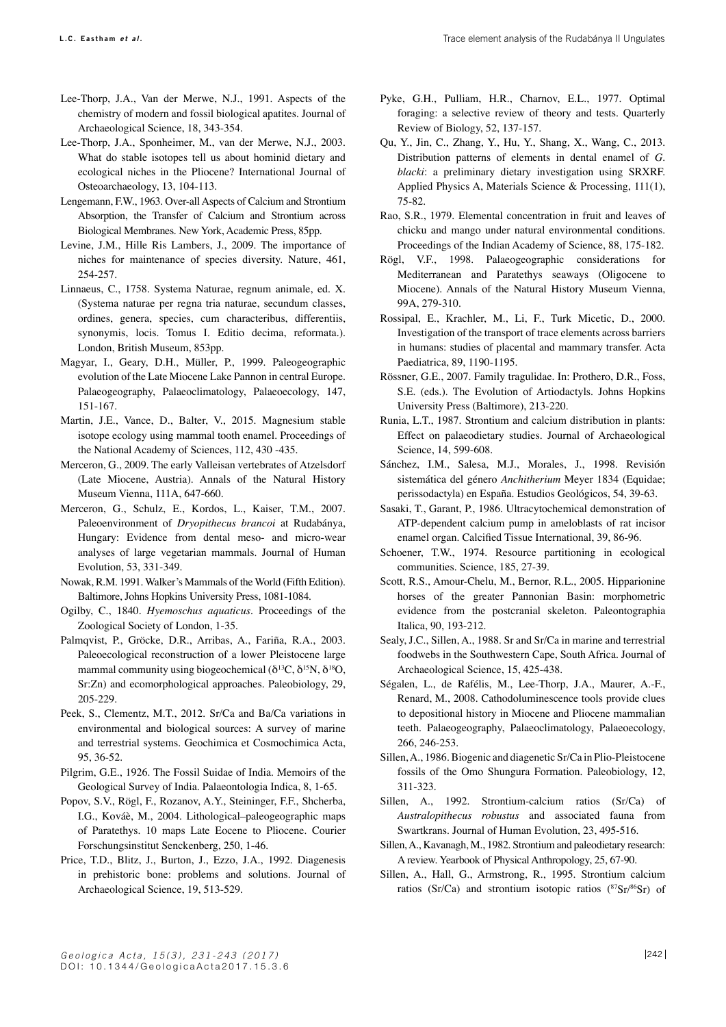- Lee-Thorp, J.A., Van der Merwe, N.J., 1991. Aspects of the chemistry of modern and fossil biological apatites. Journal of Archaeological Science, 18, 343-354.
- Lee-Thorp, J.A., Sponheimer, M., van der Merwe, N.J., 2003. What do stable isotopes tell us about hominid dietary and ecological niches in the Pliocene? International Journal of Osteoarchaeology, 13, 104-113.
- Lengemann, F.W., 1963. Over-all Aspects of Calcium and Strontium Absorption, the Transfer of Calcium and Strontium across Biological Membranes. New York, Academic Press, 85pp.
- Levine, J.M., Hille Ris Lambers, J., 2009. The importance of niches for maintenance of species diversity. Nature, 461, 254-257.
- Linnaeus, C., 1758. Systema Naturae, regnum animale, ed. X. (Systema naturae per regna tria naturae, secundum classes, ordines, genera, species, cum characteribus, differentiis, synonymis, locis. Tomus I. Editio decima, reformata.). London, British Museum, 853pp.
- Magyar, I., Geary, D.H., Müller, P., 1999. Paleogeographic evolution of the Late Miocene Lake Pannon in central Europe. Palaeogeography, Palaeoclimatology, Palaeoecology, 147, 151-167.
- Martin, J.E., Vance, D., Balter, V., 2015. Magnesium stable isotope ecology using mammal tooth enamel. Proceedings of the National Academy of Sciences, 112, 430 -435.
- Merceron, G., 2009. The early Valleisan vertebrates of Atzelsdorf (Late Miocene, Austria). Annals of the Natural History Museum Vienna, 111A, 647-660.
- Merceron, G., Schulz, E., Kordos, L., Kaiser, T.M., 2007. Paleoenvironment of *Dryopithecus brancoi* at Rudabánya, Hungary: Evidence from dental meso- and micro-wear analyses of large vegetarian mammals. Journal of Human Evolution, 53, 331-349.
- Nowak, R.M. 1991. Walker's Mammals of the World (Fifth Edition). Baltimore, Johns Hopkins University Press, 1081-1084.
- Ogilby, C., 1840. *Hyemoschus aquaticus*. Proceedings of the Zoological Society of London, 1-35.
- Palmqvist, P., Gröcke, D.R., Arribas, A., Fariña, R.A., 2003. Paleoecological reconstruction of a lower Pleistocene large mammal community using biogeochemical ( $\delta^{13}C$ ,  $\delta^{15}N$ ,  $\delta^{18}O$ , Sr:Zn) and ecomorphological approaches. Paleobiology, 29, 205-229.
- Peek, S., Clementz, M.T., 2012. Sr/Ca and Ba/Ca variations in environmental and biological sources: A survey of marine and terrestrial systems. Geochimica et Cosmochimica Acta, 95, 36-52.
- Pilgrim, G.E., 1926. The Fossil Suidae of India. Memoirs of the Geological Survey of India. Palaeontologia Indica, 8, 1-65.
- Popov, S.V., Rögl, F., Rozanov, A.Y., Steininger, F.F., Shcherba, I.G., Kováè, M., 2004. Lithological–paleogeographic maps of Paratethys. 10 maps Late Eocene to Pliocene. Courier Forschungsinstitut Senckenberg, 250, 1-46.
- Price, T.D., Blitz, J., Burton, J., Ezzo, J.A., 1992. Diagenesis in prehistoric bone: problems and solutions. Journal of Archaeological Science, 19, 513-529.
- Pyke, G.H., Pulliam, H.R., Charnov, E.L., 1977. Optimal foraging: a selective review of theory and tests. Quarterly Review of Biology, 52, 137-157.
- Qu, Y., Jin, C., Zhang, Y., Hu, Y., Shang, X., Wang, C., 2013. Distribution patterns of elements in dental enamel of *G. blacki*: a preliminary dietary investigation using SRXRF. Applied Physics A, Materials Science & Processing, 111(1), 75-82.
- Rao, S.R., 1979. Elemental concentration in fruit and leaves of chicku and mango under natural environmental conditions. Proceedings of the Indian Academy of Science, 88, 175-182.
- Rögl, V.F., 1998. Palaeogeographic considerations for Mediterranean and Paratethys seaways (Oligocene to Miocene). Annals of the Natural History Museum Vienna, 99A, 279-310.
- Rossipal, E., Krachler, M., Li, F., Turk Micetic, D., 2000. Investigation of the transport of trace elements across barriers in humans: studies of placental and mammary transfer. Acta Paediatrica, 89, 1190-1195.
- Rössner, G.E., 2007. Family tragulidae. In: Prothero, D.R., Foss, S.E. (eds.). The Evolution of Artiodactyls. Johns Hopkins University Press (Baltimore), 213-220.
- Runia, L.T., 1987. Strontium and calcium distribution in plants: Effect on palaeodietary studies. Journal of Archaeological Science, 14, 599-608.
- Sánchez, I.M., Salesa, M.J., Morales, J., 1998. Revisión sistemática del género *Anchitherium* Meyer 1834 (Equidae; perissodactyla) en España. Estudios Geológicos, 54, 39-63.
- Sasaki, T., Garant, P., 1986. Ultracytochemical demonstration of ATP-dependent calcium pump in ameloblasts of rat incisor enamel organ. Calcified Tissue International, 39, 86-96.
- Schoener, T.W., 1974. Resource partitioning in ecological communities. Science, 185, 27-39.
- Scott, R.S., Amour-Chelu, M., Bernor, R.L., 2005. Hipparionine horses of the greater Pannonian Basin: morphometric evidence from the postcranial skeleton. Paleontographia Italica, 90, 193-212.
- Sealy, J.C., Sillen, A., 1988. Sr and Sr/Ca in marine and terrestrial foodwebs in the Southwestern Cape, South Africa. Journal of Archaeological Science, 15, 425-438.
- Ségalen, L., de Rafélis, M., Lee-Thorp, J.A., Maurer, A.-F., Renard, M., 2008. Cathodoluminescence tools provide clues to depositional history in Miocene and Pliocene mammalian teeth. Palaeogeography, Palaeoclimatology, Palaeoecology, 266, 246-253.
- Sillen, A., 1986. Biogenic and diagenetic Sr/Ca in Plio-Pleistocene fossils of the Omo Shungura Formation. Paleobiology, 12, 311-323.
- Sillen, A., 1992. Strontium-calcium ratios (Sr/Ca) of *Australopithecus robustus* and associated fauna from Swartkrans. Journal of Human Evolution, 23, 495-516.
- Sillen, A., Kavanagh, M., 1982. Strontium and paleodietary research: A review. Yearbook of Physical Anthropology, 25, 67-90.
- Sillen, A., Hall, G., Armstrong, R., 1995. Strontium calcium ratios (Sr/Ca) and strontium isotopic ratios (87Sr/86Sr) of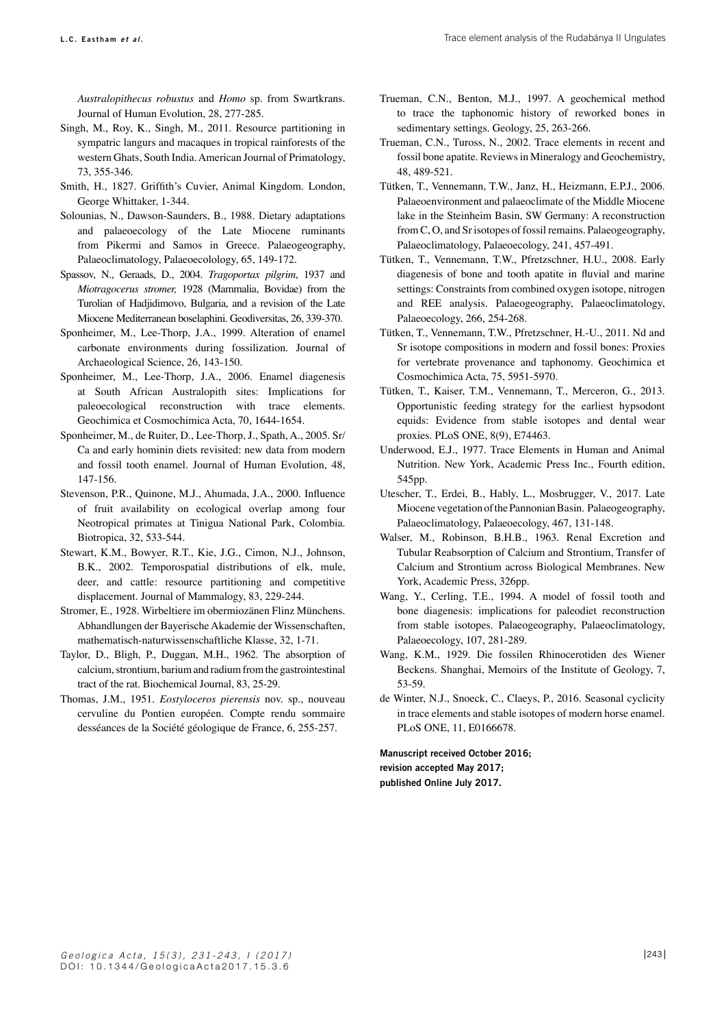*Australopithecus robustus* and *Homo* sp. from Swartkrans. Journal of Human Evolution, 28, 277-285.

- Singh, M., Roy, K., Singh, M., 2011. Resource partitioning in sympatric langurs and macaques in tropical rainforests of the western Ghats, South India. American Journal of Primatology, 73, 355-346.
- Smith, H., 1827. Griffith's Cuvier, Animal Kingdom. London, George Whittaker, 1-344.
- Solounias, N., Dawson-Saunders, B., 1988. Dietary adaptations and palaeoecology of the Late Miocene ruminants from Pikermi and Samos in Greece. Palaeogeography, Palaeoclimatology, Palaeoecolology, 65, 149-172.
- Spassov, N., Geraads, D., 2004. *Tragoportax pilgrim*, 1937 and *Miotragocerus stromer,* 1928 (Mammalia, Bovidae) from the Turolian of Hadjidimovo, Bulgaria, and a revision of the Late Miocene Mediterranean boselaphini. Geodiversitas, 26, 339-370.
- Sponheimer, M., Lee-Thorp, J.A., 1999. Alteration of enamel carbonate environments during fossilization. Journal of Archaeological Science, 26, 143-150.
- Sponheimer, M., Lee-Thorp, J.A., 2006. Enamel diagenesis at South African Australopith sites: Implications for paleoecological reconstruction with trace elements. Geochimica et Cosmochimica Acta, 70, 1644-1654.
- Sponheimer, M., de Ruiter, D., Lee-Thorp, J., Spath, A., 2005. Sr/ Ca and early hominin diets revisited: new data from modern and fossil tooth enamel. Journal of Human Evolution, 48, 147-156.
- Stevenson, P.R., Quinone, M.J., Ahumada, J.A., 2000. Influence of fruit availability on ecological overlap among four Neotropical primates at Tinigua National Park, Colombia. Biotropica, 32, 533-544.
- Stewart, K.M., Bowyer, R.T., Kie, J.G., Cimon, N.J., Johnson, B.K., 2002. Temporospatial distributions of elk, mule, deer, and cattle: resource partitioning and competitive displacement. Journal of Mammalogy, 83, 229-244.
- Stromer, E., 1928. Wirbeltiere im obermiozänen Flinz Münchens. Abhandlungen der Bayerische Akademie der Wissenschaften, mathematisch-naturwissenschaftliche Klasse, 32, 1-71.
- Taylor, D., Bligh, P., Duggan, M.H., 1962. The absorption of calcium, strontium, barium and radium from the gastrointestinal tract of the rat. Biochemical Journal, 83, 25-29.
- Thomas, J.M., 1951. *Eostyloceros pierensis* nov. sp., nouveau cervuline du Pontien européen. Compte rendu sommaire desséances de la Société géologique de France, 6, 255-257.
- Trueman, C.N., Benton, M.J., 1997. A geochemical method to trace the taphonomic history of reworked bones in sedimentary settings. Geology, 25, 263-266.
- Trueman, C.N., Tuross, N., 2002. Trace elements in recent and fossil bone apatite. Reviews in Mineralogy and Geochemistry, 48, 489-521.
- Tütken, T., Vennemann, T.W., Janz, H., Heizmann, E.P.J., 2006. Palaeoenvironment and palaeoclimate of the Middle Miocene lake in the Steinheim Basin, SW Germany: A reconstruction from C, O, and Sr isotopes of fossil remains. Palaeogeography, Palaeoclimatology, Palaeoecology, 241, 457-491.
- Tütken, T., Vennemann, T.W., Pfretzschner, H.U., 2008. Early diagenesis of bone and tooth apatite in fluvial and marine settings: Constraints from combined oxygen isotope, nitrogen and REE analysis. Palaeogeography, Palaeoclimatology, Palaeoecology, 266, 254-268.
- Tütken, T., Vennemann, T.W., Pfretzschner, H.-U., 2011. Nd and Sr isotope compositions in modern and fossil bones: Proxies for vertebrate provenance and taphonomy. Geochimica et Cosmochimica Acta, 75, 5951-5970.
- Tütken, T., Kaiser, T.M., Vennemann, T., Merceron, G., 2013. Opportunistic feeding strategy for the earliest hypsodont equids: Evidence from stable isotopes and dental wear proxies. PLoS ONE, 8(9), E74463.
- Underwood, E.J., 1977. Trace Elements in Human and Animal Nutrition. New York, Academic Press Inc., Fourth edition, 545pp.
- Utescher, T., Erdei, B., Hably, L., Mosbrugger, V., 2017. Late Miocene vegetation of the Pannonian Basin. Palaeogeography, Palaeoclimatology, Palaeoecology, 467, 131-148.
- Walser, M., Robinson, B.H.B., 1963. Renal Excretion and Tubular Reabsorption of Calcium and Strontium, Transfer of Calcium and Strontium across Biological Membranes. New York, Academic Press, 326pp.
- Wang, Y., Cerling, T.E., 1994. A model of fossil tooth and bone diagenesis: implications for paleodiet reconstruction from stable isotopes. Palaeogeography, Palaeoclimatology, Palaeoecology, 107, 281-289.
- Wang, K.M., 1929. Die fossilen Rhinocerotiden des Wiener Beckens. Shanghai, Memoirs of the Institute of Geology, 7, 53-59.
- de Winter, N.J., Snoeck, C., Claeys, P., 2016. Seasonal cyclicity in trace elements and stable isotopes of modern horse enamel. PLoS ONE, 11, E0166678.

**Manuscript received October 2016; revision accepted May 2017; published Online July 2017.**